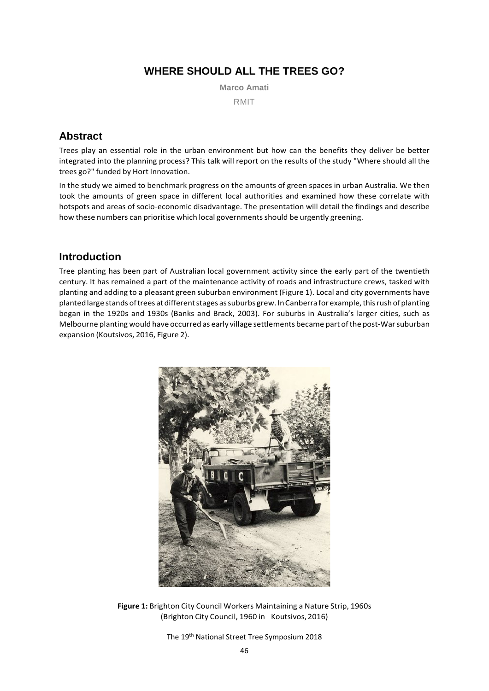# **WHERE SHOULD ALL THE TREES GO?**

**Marco Amati**

RMIT

# **Abstract**

Trees play an essential role in the urban environment but how can the benefits they deliver be better integrated into the planning process? This talk will report on the results of the study "Where should all the trees go?" funded by Hort Innovation.

In the study we aimed to benchmark progress on the amounts of green spaces in urban Australia. We then took the amounts of green space in different local authorities and examined how these correlate with hotspots and areas of socio-economic disadvantage. The presentation will detail the findings and describe how these numbers can prioritise which local governmentsshould be urgently greening.

## **Introduction**

Tree planting has been part of Australian local government activity since the early part of the twentieth century. It has remained a part of the maintenance activity of roads and infrastructure crews, tasked with planting and adding to a pleasant green suburban environment (Figure 1). Local and city governments have planted large stands of trees at different stages as suburbs grew. In Canberra for example, this rush of planting began in the 1920s and 1930s (Banks and Brack, 2003). For suburbs in Australia's larger cities, such as Melbourne planting would have occurred as early village settlements became part ofthe post-Warsuburban expansion (Koutsivos, 2016, Figure 2).



**Figure 1:** Brighton City Council Workers Maintaining a Nature Strip, 1960s (Brighton City Council, 1960 in Koutsivos, 2016)

The 19th National Street Tree Symposium 2018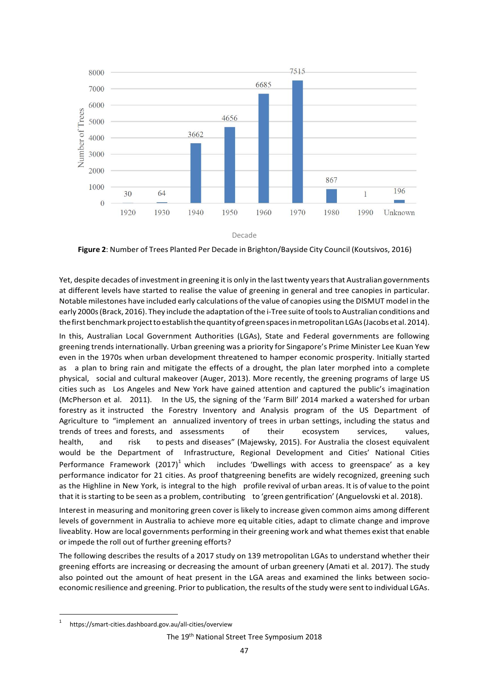

Decade

**Figure 2**: Number of Trees Planted Per Decade in Brighton/Bayside City Council (Koutsivos, 2016)

Yet, despite decades of investment in greening it is only in the last twenty years that Australian governments at different levels have started to realise the value of greening in general and tree canopies in particular. Notable milestones have included early calculations ofthe value of canopies using the DISMUT model in the early 2000s(Brack, 2016). They include the adaptation ofthe i-Tree suite oftoolsto Australian conditions and the first benchmark project to establish the quantity of green spaces in metropolitan LGAs (Jacobs et al. 2014).

In this, Australian Local Government Authorities (LGAs), State and Federal governments are following greening trendsinternationally. Urban greening was a priority for Singapore's Prime Minister Lee Kuan Yew even in the 1970s when urban development threatened to hamper economic prosperity. Initially started as a plan to bring rain and mitigate the effects of a drought, the plan later morphed into a complete physical, social and cultural makeover (Auger, 2013). More recently, the greening programs of large US cities such as Los Angeles and New York have gained attention and captured the public's imagination (McPherson et al. 2011). In the US, the signing of the 'Farm Bill' 2014 marked a watershed for urban forestry as it instructed the Forestry Inventory and Analysis program of the US Department of Agriculture to "implement an annualized inventory of trees in urban settings, including the status and trends of trees and forests, and assessments of their ecosystem services, values, health, and risk to pests and diseases" (Majewsky, 2015). For Australia the closest equivalent would be the Department of Infrastructure, Regional Development and Cities' National Cities Performance Framework (2017)<sup>1</sup> which includes 'Dwellings with access to greenspace' as a key performance indicator for 21 cities. As proof thatgreening benefits are widely recognized, greening such as the Highline in New York, is integral to the high profile revival of urban areas. It is of value to the point that it is starting to be seen as a problem, contributing to 'green gentrification' (Anguelovski et al. 2018).

Interest in measuring and monitoring green cover is likely to increase given common aims among different levels of government in Australia to achieve more eq uitable cities, adapt to climate change and improve liveablity. How are local governments performing in their greening work and what themes exist that enable or impede the roll out of further greening efforts?

The following describes the results of a 2017 study on 139 metropolitan LGAs to understand whether their greening efforts are increasing or decreasing the amount of urban greenery (Amati et al. 2017). The study also pointed out the amount of heat present in the LGA areas and examined the links between socioeconomic resilience and greening. Priorto publication, the results ofthe study were sent to individual LGAs.

<sup>1</sup> https://smart-cities.dashboard.gov.au/all-cities/overview

The 19th National Street Tree Symposium 2018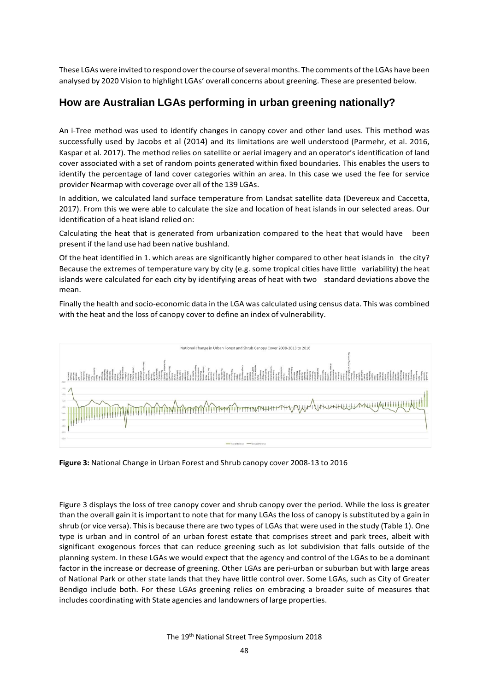These LGAs were invited to respond over the course of several months. The comments of the LGAs have been analysed by 2020 Vision to highlight LGAs' overall concerns about greening. These are presented below.

### **How are Australian LGAs performing in urban greening nationally?**

An i-Tree method was used to identify changes in canopy cover and other land uses. This method was successfully used by Jacobs et al (2014) and its limitations are well understood (Parmehr, et al. 2016, Kaspar et al. 2017). The method relies on satellite or aerial imagery and an operator's identification of land cover associated with a set of random points generated within fixed boundaries. This enables the users to identify the percentage of land cover categories within an area. In this case we used the fee for service provider Nearmap with coverage over all of the 139 LGAs.

In addition, we calculated land surface temperature from Landsat satellite data (Devereux and Caccetta, 2017). From this we were able to calculate the size and location of heat islands in our selected areas. Our identification of a heat island relied on:

Calculating the heat that is generated from urbanization compared to the heat that would have been present if the land use had been native bushland.

Of the heat identified in 1. which areas are significantly higher compared to other heat islands in the city? Because the extremes of temperature vary by city (e.g. some tropical cities have little variability) the heat islands were calculated for each city by identifying areas of heat with two standard deviations above the mean.

Finally the health and socio-economic data in the LGA was calculated using census data. This was combined with the heat and the loss of canopy cover to define an index of vulnerability.



**Figure 3:** National Change in Urban Forest and Shrub canopy cover 2008-13 to 2016

Figure 3 displays the loss of tree canopy cover and shrub canopy over the period. While the loss is greater than the overall gain it is important to note that for many LGAs the loss of canopy is substituted by a gain in shrub (or vice versa). This is because there are two types of LGAs that were used in the study (Table 1). One type is urban and in control of an urban forest estate that comprises street and park trees, albeit with significant exogenous forces that can reduce greening such as lot subdivision that falls outside of the planning system. In these LGAs we would expect that the agency and control of the LGAs to be a dominant factor in the increase or decrease of greening. Other LGAs are peri-urban or suburban but with large areas of National Park or other state lands that they have little control over. Some LGAs, such as City of Greater Bendigo include both. For these LGAs greening relies on embracing a broader suite of measures that includes coordinating with State agencies and landowners of large properties.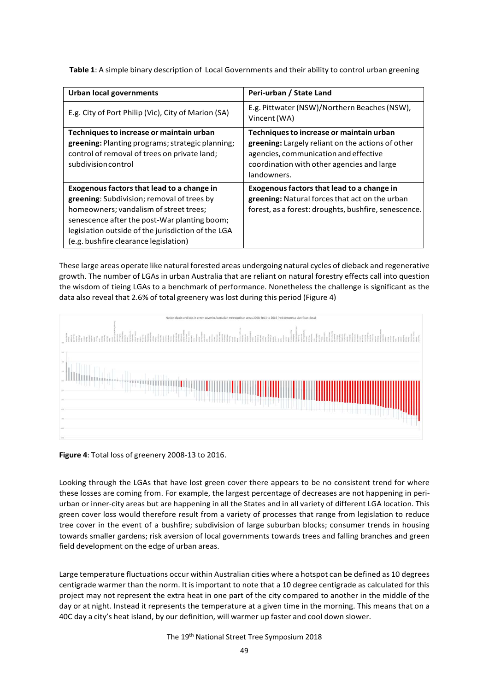| <b>Urban local governments</b>                                                                                                                                                                                                                                                    | Peri-urban / State Land                                                                                                                                                                             |
|-----------------------------------------------------------------------------------------------------------------------------------------------------------------------------------------------------------------------------------------------------------------------------------|-----------------------------------------------------------------------------------------------------------------------------------------------------------------------------------------------------|
| E.g. City of Port Philip (Vic), City of Marion (SA)                                                                                                                                                                                                                               | E.g. Pittwater (NSW)/Northern Beaches (NSW),<br>Vincent (WA)                                                                                                                                        |
| Techniques to increase or maintain urban<br><b>greening:</b> Planting programs; strategic planning;<br>control of removal of trees on private land;<br>subdivision control                                                                                                        | Techniques to increase or maintain urban<br>greening: Largely reliant on the actions of other<br>agencies, communication and effective<br>coordination with other agencies and large<br>landowners. |
| Exogenous factors that lead to a change in<br>greening: Subdivision; removal of trees by<br>homeowners; vandalism of street trees;<br>senescence after the post-War planting boom;<br>legislation outside of the jurisdiction of the LGA<br>(e.g. bushfire clearance legislation) | Exogenous factors that lead to a change in<br>greening: Natural forces that act on the urban<br>forest, as a forest: droughts, bushfire, senescence.                                                |

**Table 1**: A simple binary description of Local Governments and their ability to control urban greening

These large areas operate like natural forested areas undergoing natural cycles of dieback and regenerative growth. The number of LGAs in urban Australia that are reliant on natural forestry effects call into question the wisdom of tieing LGAs to a benchmark of performance. Nonetheless the challenge is significant as the data also reveal that 2.6% of total greenery was lost during this period (Figure 4)



**Figure 4**: Total loss of greenery 2008-13 to 2016.

Looking through the LGAs that have lost green cover there appears to be no consistent trend for where these losses are coming from. For example, the largest percentage of decreases are not happening in periurban or inner-city areas but are happening in all the States and in all variety of different LGA location. This green cover loss would therefore result from a variety of processes that range from legislation to reduce tree cover in the event of a bushfire; subdivision of large suburban blocks; consumer trends in housing towards smaller gardens; risk aversion of local governments towards trees and falling branches and green field development on the edge of urban areas.

Large temperature fluctuations occur within Australian cities where a hotspot can be defined as 10 degrees centigrade warmer than the norm. It is important to note that a 10 degree centigrade as calculated for this project may not represent the extra heat in one part of the city compared to another in the middle of the day or at night. Instead it represents the temperature at a given time in the morning. This means that on a 40C day a city's heat island, by our definition, will warmer up faster and cool down slower.

The 19th National Street Tree Symposium 2018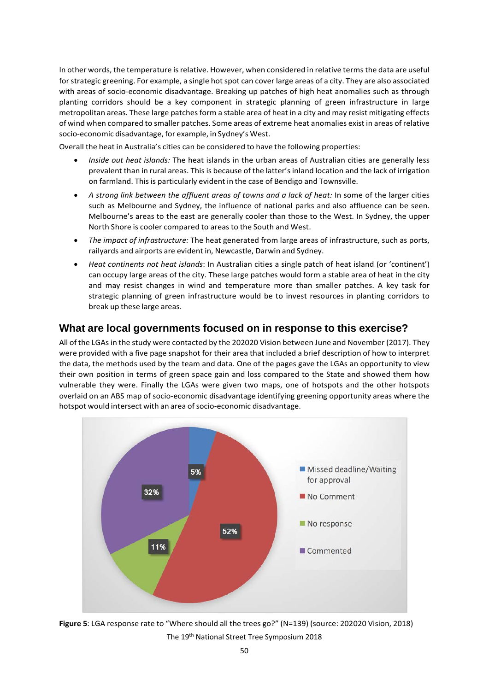In other words, the temperature isrelative. However, when considered in relative termsthe data are useful for strategic greening. For example, a single hot spot can cover large areas of a city. They are also associated with areas of socio-economic disadvantage. Breaking up patches of high heat anomalies such as through planting corridors should be a key component in strategic planning of green infrastructure in large metropolitan areas. These large patches form a stable area of heat in a city and may resist mitigating effects of wind when compared to smaller patches. Some areas of extreme heat anomalies exist in areas of relative socio-economic disadvantage, for example, in Sydney's West.

Overall the heat in Australia's cities can be considered to have the following properties:

- *Inside out heat islands:* The heat islands in the urban areas of Australian cities are generally less prevalent than in rural areas. This is because of the latter's inland location and the lack of irrigation on farmland. Thisis particularly evident in the case of Bendigo and Townsville.
- *A strong link between the affluent areas of towns and a lack of heat:* In some of the larger cities such as Melbourne and Sydney, the influence of national parks and also affluence can be seen. Melbourne's areas to the east are generally cooler than those to the West. In Sydney, the upper North Shore is cooler compared to areas to the South and West.
- *The impact of infrastructure:* The heat generated from large areas of infrastructure, such as ports, railyards and airports are evident in, Newcastle, Darwin and Sydney.
- *Heat continents not heat islands*: In Australian cities a single patch of heat island (or 'continent') can occupy large areas of the city. These large patches would form a stable area of heat in the city and may resist changes in wind and temperature more than smaller patches. A key task for strategic planning of green infrastructure would be to invest resources in planting corridors to break up these large areas.

### **What are local governments focused on in response to this exercise?**

All of the LGAs in the study were contacted by the 202020 Vision between June and November (2017). They were provided with a five page snapshot for their area that included a brief description of how to interpret the data, the methods used by the team and data. One of the pages gave the LGAs an opportunity to view their own position in terms of green space gain and loss compared to the State and showed them how vulnerable they were. Finally the LGAs were given two maps, one of hotspots and the other hotspots overlaid on an ABS map of socio-economic disadvantage identifying greening opportunity areas where the hotspot would intersect with an area of socio-economic disadvantage.



The 19th National Street Tree Symposium 2018 **Figure 5**: LGA response rate to "Where should all the trees go?" (N=139) (source: 202020 Vision, 2018)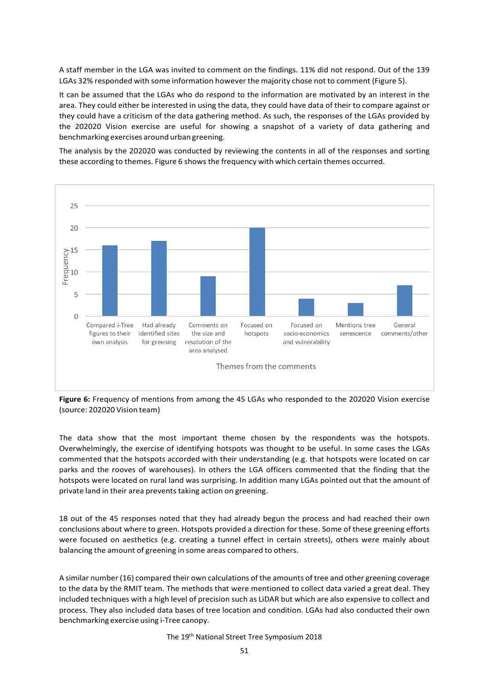A staff member in the LGA was invited to comment on the findings. 11% did not respond. Out of the 139 LGAs 32% responded with some information however the majority chose not to comment (Figure 5).

It can be assumed that the LGAs who do respond to the information are motivated by an interest in the area. They could either be interested in using the data, they could have data of their to compare against or they could have a criticism of the data gathering method. As such, the responses of the LGAs provided by the 202020 Vision exercise are useful for showing a snapshot of a variety of data gathering and benchmarking exercises around urban greening.

The analysis by the 202020 was conducted by reviewing the contents in all of the responses and sorting these according to themes. Figure 6 shows the frequency with which certain themes occurred.



**Figure 6:** Frequency of mentions from among the 45 LGAs who responded to the 202020 Vision exercise (source: 202020 Vision team)

The data show that the most important theme chosen by the respondents was the hotspots. Overwhelmingly, the exercise of identifying hotspots was thought to be useful. In some cases the LGAs commented that the hotspots accorded with their understanding (e.g. that hotspots were located on car parks and the rooves of warehouses). In others the LGA officers commented that the finding that the hotspots were located on rural land was surprising. In addition many LGAs pointed out that the amount of private land in their area prevents taking action on greening.

18 out of the 45 responses noted that they had already begun the process and had reached their own conclusions about where to green. Hotspots provided a direction for these. Some of these greening efforts were focused on aesthetics (e.g. creating a tunnel effect in certain streets), others were mainly about balancing the amount of greening in some areas compared to others.

A similar number (16) compared their own calculations of the amounts of tree and other greening coverage to the data by the RMIT team. The methods that were mentioned to collect data varied a great deal. They included techniques with a high level of precision such as LiDAR but which are also expensive to collect and process. They also included data bases of tree location and condition. LGAs had also conducted their own benchmarking exercise using i-Tree canopy.

The 19th National Street Tree Symposium 2018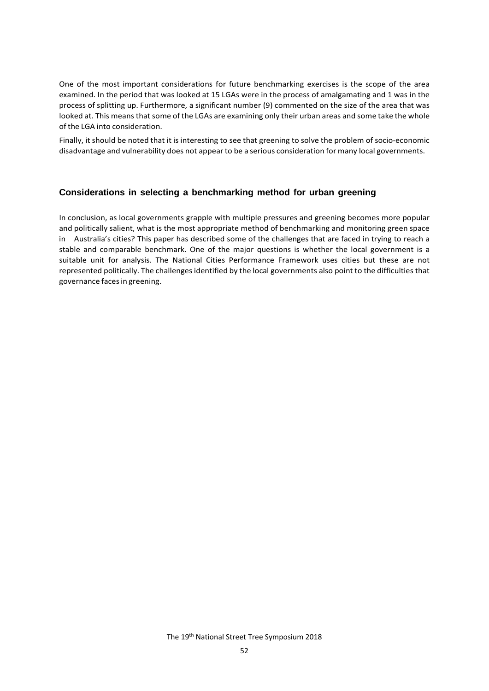One of the most important considerations for future benchmarking exercises is the scope of the area examined. In the period that was looked at 15 LGAs were in the process of amalgamating and 1 was in the process of splitting up. Furthermore, a significant number (9) commented on the size of the area that was looked at. This means that some of the LGAs are examining only their urban areas and some take the whole of the LGA into consideration.

Finally, it should be noted that it is interesting to see that greening to solve the problem of socio-economic disadvantage and vulnerability does not appear to be a serious consideration for many local governments.

#### **Considerations in selecting a benchmarking method for urban greening**

In conclusion, as local governments grapple with multiple pressures and greening becomes more popular and politically salient, what is the most appropriate method of benchmarking and monitoring green space in Australia's cities? This paper has described some of the challenges that are faced in trying to reach a stable and comparable benchmark. One of the major questions is whether the local government is a suitable unit for analysis. The National Cities Performance Framework uses cities but these are not represented politically. The challenges identified by the local governments also point to the difficulties that governance facesin greening.